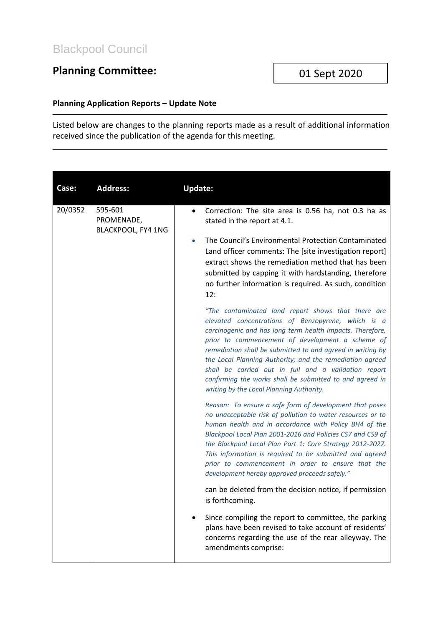## **Planning Committee:**

## **Planning Application Reports – Update Note**

Listed below are changes to the planning reports made as a result of additional information received since the publication of the agenda for this meeting.

| Case:   | <b>Address:</b>                             | <b>Update:</b>                                                                                                                                                                                                                                                                                                                                                                                                                                                                                                                                                            |
|---------|---------------------------------------------|---------------------------------------------------------------------------------------------------------------------------------------------------------------------------------------------------------------------------------------------------------------------------------------------------------------------------------------------------------------------------------------------------------------------------------------------------------------------------------------------------------------------------------------------------------------------------|
| 20/0352 | 595-601<br>PROMENADE,<br>BLACKPOOL, FY4 1NG | Correction: The site area is 0.56 ha, not 0.3 ha as<br>stated in the report at 4.1.<br>The Council's Environmental Protection Contaminated<br>$\bullet$<br>Land officer comments: The [site investigation report]<br>extract shows the remediation method that has been<br>submitted by capping it with hardstanding, therefore<br>no further information is required. As such, condition<br>12:<br>"The contaminated land report shows that there are<br>elevated concentrations of Benzopyrene, which is a<br>carcinogenic and has long term health impacts. Therefore, |
|         |                                             | prior to commencement of development a scheme of<br>remediation shall be submitted to and agreed in writing by<br>the Local Planning Authority; and the remediation agreed<br>shall be carried out in full and a validation report<br>confirming the works shall be submitted to and agreed in<br>writing by the Local Planning Authority.                                                                                                                                                                                                                                |
|         |                                             | Reason: To ensure a safe form of development that poses<br>no unacceptable risk of pollution to water resources or to<br>human health and in accordance with Policy BH4 of the<br>Blackpool Local Plan 2001-2016 and Policies CS7 and CS9 of<br>the Blackpool Local Plan Part 1: Core Strategy 2012-2027.<br>This information is required to be submitted and agreed<br>prior to commencement in order to ensure that the<br>development hereby approved proceeds safely."                                                                                                |
|         |                                             | can be deleted from the decision notice, if permission<br>is forthcoming.                                                                                                                                                                                                                                                                                                                                                                                                                                                                                                 |
|         |                                             | Since compiling the report to committee, the parking<br>plans have been revised to take account of residents'<br>concerns regarding the use of the rear alleyway. The<br>amendments comprise:                                                                                                                                                                                                                                                                                                                                                                             |